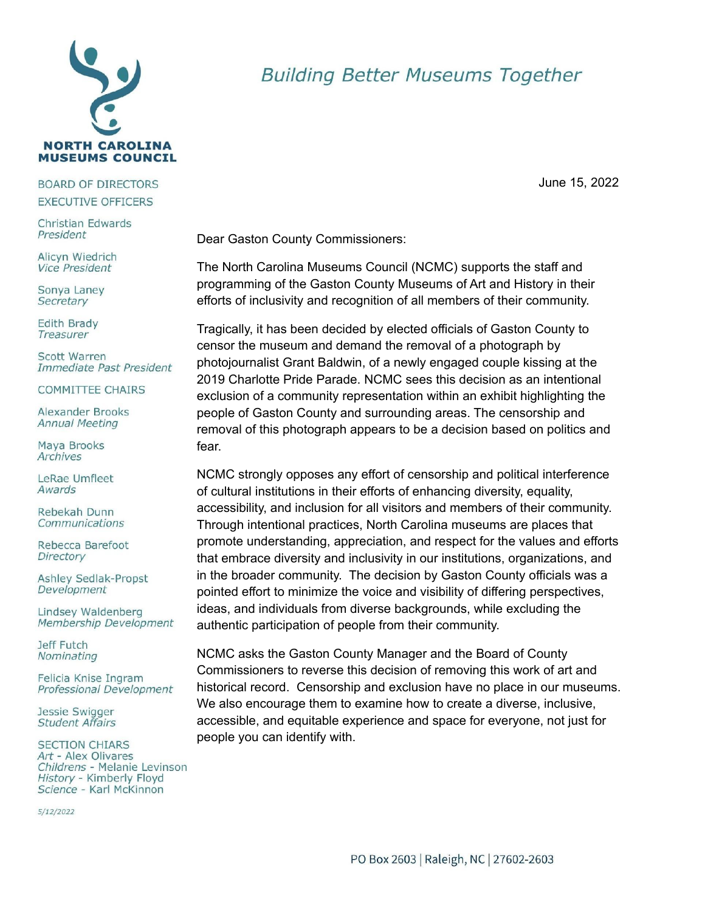

## **BOARD OF DIRECTORS EXECUTIVE OFFICERS**

Christian Edwards President

Alicyn Wiedrich **Vice President** 

Sonya Laney Secretary

**Edith Brady** Treasurer

Scott Warren Immediate Past President

**COMMITTEE CHAIRS** 

Alexander Brooks **Annual Meeting** 

Maya Brooks Archives

LeRae Umfleet Awards

Rebekah Dunn Communications

Rebecca Barefoot Directory

**Ashley Sedlak-Propst** Development

Lindsey Waldenberg Membership Development

Jeff Futch Nominating

Felicia Knise Ingram Professional Development

Jessie Swigger **Student Affairs** 

**SECTION CHIARS** Art - Alex Olivares Childrens - Melanie Levinson History - Kimberly Floyd Science - Karl McKinnon

5/12/2022

## **Building Better Museums Together**

June 15, 2022

Dear Gaston County Commissioners:

The North Carolina Museums Council (NCMC) supports the staff and programming of the Gaston County Museums of Art and History in their efforts of inclusivity and recognition of all members of their community.

Tragically, it has been decided by elected officials of Gaston County to censor the museum and demand the removal of a photograph by photojournalist Grant Baldwin, of a newly engaged couple kissing at the 2019 Charlotte Pride Parade. NCMC sees this decision as an intentional exclusion of a community representation within an exhibit highlighting the people of Gaston County and surrounding areas. The censorship and removal of this photograph appears to be a decision based on politics and fear.

NCMC strongly opposes any effort of censorship and political interference of cultural institutions in their efforts of enhancing diversity, equality, accessibility, and inclusion for all visitors and members of their community. Through intentional practices, North Carolina museums are places that promote understanding, appreciation, and respect for the values and efforts that embrace diversity and inclusivity in our institutions, organizations, and in the broader community. The decision by Gaston County officials was a pointed effort to minimize the voice and visibility of differing perspectives. ideas, and individuals from diverse backgrounds, while excluding the authentic participation of people from their community.

NCMC asks the Gaston County Manager and the Board of County Commissioners to reverse this decision of removing this work of art and historical record. Censorship and exclusion have no place in our museums. We also encourage them to examine how to create a diverse, inclusive, accessible, and equitable experience and space for everyone, not just for people you can identify with.